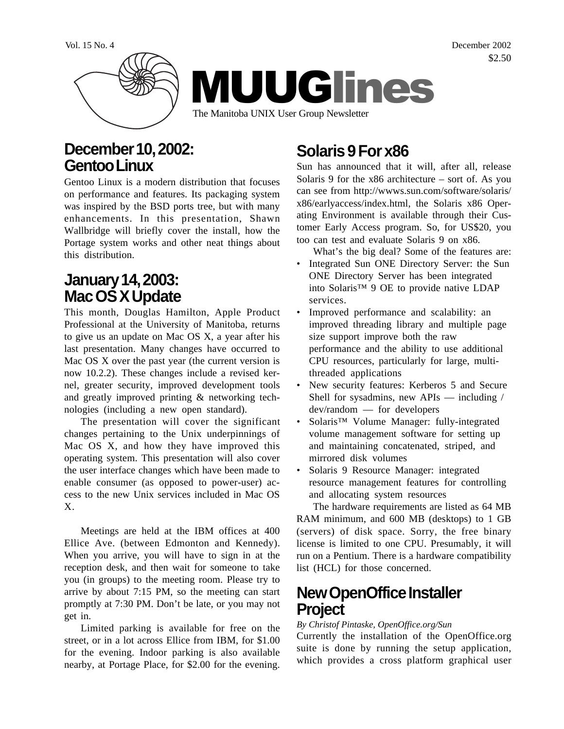

# **December 10, 2002: Gentoo Linux**

Gentoo Linux is a modern distribution that focuses on performance and features. Its packaging system was inspired by the BSD ports tree, but with many enhancements. In this presentation, Shawn Wallbridge will briefly cover the install, how the Portage system works and other neat things about this distribution.

# **January 14, 2003: Mac OS X Update**

This month, Douglas Hamilton, Apple Product Professional at the University of Manitoba, returns to give us an update on Mac OS X, a year after his last presentation. Many changes have occurred to Mac OS X over the past year (the current version is now 10.2.2). These changes include a revised kernel, greater security, improved development tools and greatly improved printing & networking technologies (including a new open standard).

The presentation will cover the significant changes pertaining to the Unix underpinnings of Mac OS X, and how they have improved this operating system. This presentation will also cover the user interface changes which have been made to enable consumer (as opposed to power-user) access to the new Unix services included in Mac OS X.

Meetings are held at the IBM offices at 400 Ellice Ave. (between Edmonton and Kennedy). When you arrive, you will have to sign in at the reception desk, and then wait for someone to take you (in groups) to the meeting room. Please try to arrive by about 7:15 PM, so the meeting can start promptly at 7:30 PM. Don't be late, or you may not get in.

Limited parking is available for free on the street, or in a lot across Ellice from IBM, for \$1.00 for the evening. Indoor parking is also available nearby, at Portage Place, for \$2.00 for the evening.

# **Solaris 9 For x86**

Sun has announced that it will, after all, release Solaris 9 for the  $x86$  architecture – sort of. As you can see from http://wwws.sun.com/software/solaris/ x86/earlyaccess/index.html, the Solaris x86 Operating Environment is available through their Customer Early Access program. So, for US\$20, you too can test and evaluate Solaris 9 on x86.

What's the big deal? Some of the features are:

- Integrated Sun ONE Directory Server: the Sun ONE Directory Server has been integrated into Solaris™ 9 OE to provide native LDAP services.
- Improved performance and scalability: an improved threading library and multiple page size support improve both the raw performance and the ability to use additional CPU resources, particularly for large, multithreaded applications
- New security features: Kerberos 5 and Secure Shell for sysadmins, new APIs — including / dev/random — for developers
- Solaris™ Volume Manager: fully-integrated volume management software for setting up and maintaining concatenated, striped, and mirrored disk volumes
- Solaris 9 Resource Manager: integrated resource management features for controlling and allocating system resources

The hardware requirements are listed as 64 MB RAM minimum, and 600 MB (desktops) to 1 GB (servers) of disk space. Sorry, the free binary license is limited to one CPU. Presumably, it will run on a Pentium. There is a hardware compatibility list (HCL) for those concerned.

### **New OpenOffice Installer Project**

#### *By Christof Pintaske, OpenOffice.org/Sun*

Currently the installation of the OpenOffice.org suite is done by running the setup application, which provides a cross platform graphical user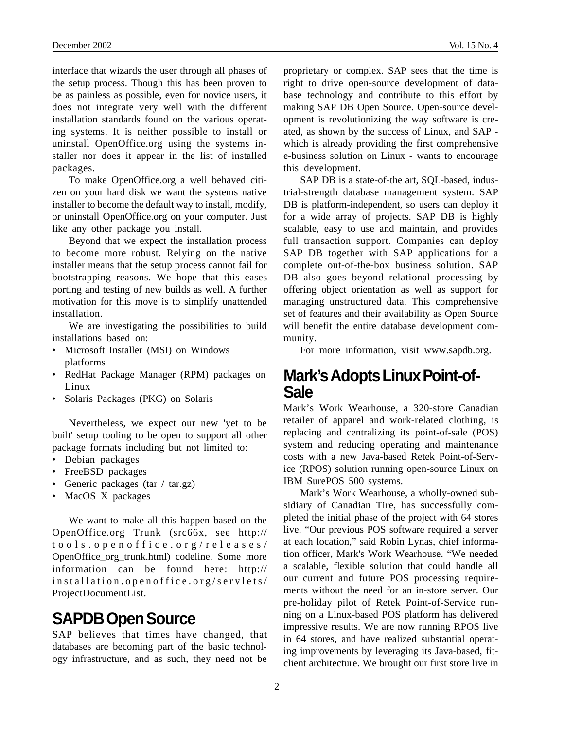interface that wizards the user through all phases of the setup process. Though this has been proven to be as painless as possible, even for novice users, it does not integrate very well with the different installation standards found on the various operating systems. It is neither possible to install or uninstall OpenOffice.org using the systems installer nor does it appear in the list of installed packages.

To make OpenOffice.org a well behaved citizen on your hard disk we want the systems native installer to become the default way to install, modify, or uninstall OpenOffice.org on your computer. Just like any other package you install.

Beyond that we expect the installation process to become more robust. Relying on the native installer means that the setup process cannot fail for bootstrapping reasons. We hope that this eases porting and testing of new builds as well. A further motivation for this move is to simplify unattended installation.

We are investigating the possibilities to build installations based on:

- Microsoft Installer (MSI) on Windows platforms
- RedHat Package Manager (RPM) packages on Linux
- Solaris Packages (PKG) on Solaris

Nevertheless, we expect our new 'yet to be built' setup tooling to be open to support all other package formats including but not limited to:

- Debian packages
- FreeBSD packages
- Generic packages (tar / tar.gz)
- MacOS X packages

We want to make all this happen based on the OpenOffice.org Trunk (src66x, see http:// tools.openoffice.org/releases/ OpenOffice\_org\_trunk.html) codeline. Some more information can be found here: http:// installation.openoffice.org/servlets/ ProjectDocumentList.

# **SAPDB Open Source**

SAP believes that times have changed, that databases are becoming part of the basic technology infrastructure, and as such, they need not be proprietary or complex. SAP sees that the time is right to drive open-source development of database technology and contribute to this effort by making SAP DB Open Source. Open-source development is revolutionizing the way software is created, as shown by the success of Linux, and SAP which is already providing the first comprehensive e-business solution on Linux - wants to encourage this development.

SAP DB is a state-of-the art, SQL-based, industrial-strength database management system. SAP DB is platform-independent, so users can deploy it for a wide array of projects. SAP DB is highly scalable, easy to use and maintain, and provides full transaction support. Companies can deploy SAP DB together with SAP applications for a complete out-of-the-box business solution. SAP DB also goes beyond relational processing by offering object orientation as well as support for managing unstructured data. This comprehensive set of features and their availability as Open Source will benefit the entire database development community.

For more information, visit www.sapdb.org.

#### **Mark's Adopts Linux Point-of-Sale**

Mark's Work Wearhouse, a 320-store Canadian retailer of apparel and work-related clothing, is replacing and centralizing its point-of-sale (POS) system and reducing operating and maintenance costs with a new Java-based Retek Point-of-Service (RPOS) solution running open-source Linux on IBM SurePOS 500 systems.

Mark's Work Wearhouse, a wholly-owned subsidiary of Canadian Tire, has successfully completed the initial phase of the project with 64 stores live. "Our previous POS software required a server at each location," said Robin Lynas, chief information officer, Mark's Work Wearhouse. "We needed a scalable, flexible solution that could handle all our current and future POS processing requirements without the need for an in-store server. Our pre-holiday pilot of Retek Point-of-Service running on a Linux-based POS platform has delivered impressive results. We are now running RPOS live in 64 stores, and have realized substantial operating improvements by leveraging its Java-based, fitclient architecture. We brought our first store live in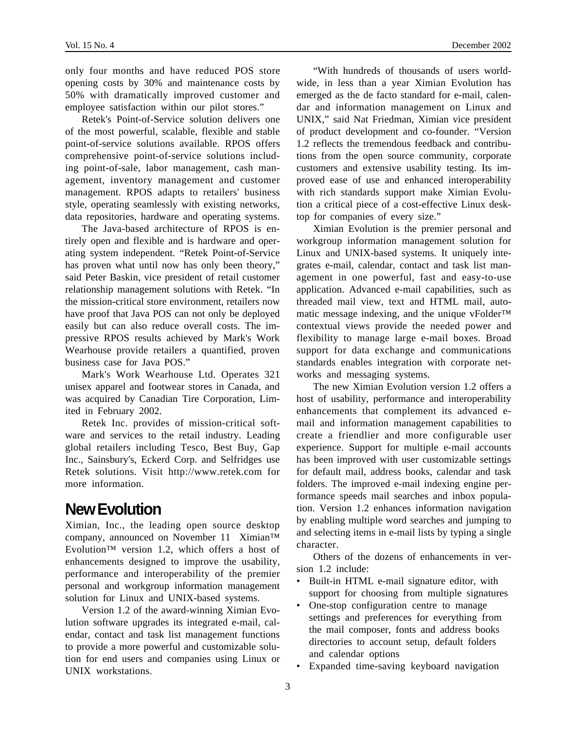only four months and have reduced POS store opening costs by 30% and maintenance costs by 50% with dramatically improved customer and employee satisfaction within our pilot stores."

Retek's Point-of-Service solution delivers one of the most powerful, scalable, flexible and stable point-of-service solutions available. RPOS offers comprehensive point-of-service solutions including point-of-sale, labor management, cash management, inventory management and customer management. RPOS adapts to retailers' business style, operating seamlessly with existing networks, data repositories, hardware and operating systems.

The Java-based architecture of RPOS is entirely open and flexible and is hardware and operating system independent. "Retek Point-of-Service has proven what until now has only been theory," said Peter Baskin, vice president of retail customer relationship management solutions with Retek. "In the mission-critical store environment, retailers now have proof that Java POS can not only be deployed easily but can also reduce overall costs. The impressive RPOS results achieved by Mark's Work Wearhouse provide retailers a quantified, proven business case for Java POS."

Mark's Work Wearhouse Ltd. Operates 321 unisex apparel and footwear stores in Canada, and was acquired by Canadian Tire Corporation, Limited in February 2002.

Retek Inc. provides of mission-critical software and services to the retail industry. Leading global retailers including Tesco, Best Buy, Gap Inc., Sainsbury's, Eckerd Corp. and Selfridges use Retek solutions. Visit http://www.retek.com for more information.

# **New Evolution**

Ximian, Inc., the leading open source desktop company, announced on November 11 Ximian™ Evolution™ version 1.2, which offers a host of enhancements designed to improve the usability, performance and interoperability of the premier personal and workgroup information management solution for Linux and UNIX-based systems.

Version 1.2 of the award-winning Ximian Evolution software upgrades its integrated e-mail, calendar, contact and task list management functions to provide a more powerful and customizable solution for end users and companies using Linux or UNIX workstations.

"With hundreds of thousands of users worldwide, in less than a year Ximian Evolution has emerged as the de facto standard for e-mail, calendar and information management on Linux and UNIX," said Nat Friedman, Ximian vice president of product development and co-founder. "Version 1.2 reflects the tremendous feedback and contributions from the open source community, corporate customers and extensive usability testing. Its improved ease of use and enhanced interoperability with rich standards support make Ximian Evolution a critical piece of a cost-effective Linux desktop for companies of every size."

Ximian Evolution is the premier personal and workgroup information management solution for Linux and UNIX-based systems. It uniquely integrates e-mail, calendar, contact and task list management in one powerful, fast and easy-to-use application. Advanced e-mail capabilities, such as threaded mail view, text and HTML mail, automatic message indexing, and the unique vFolder<sup>™</sup> contextual views provide the needed power and flexibility to manage large e-mail boxes. Broad support for data exchange and communications standards enables integration with corporate networks and messaging systems.

The new Ximian Evolution version 1.2 offers a host of usability, performance and interoperability enhancements that complement its advanced email and information management capabilities to create a friendlier and more configurable user experience. Support for multiple e-mail accounts has been improved with user customizable settings for default mail, address books, calendar and task folders. The improved e-mail indexing engine performance speeds mail searches and inbox population. Version 1.2 enhances information navigation by enabling multiple word searches and jumping to and selecting items in e-mail lists by typing a single character.

Others of the dozens of enhancements in version 1.2 include:

- Built-in HTML e-mail signature editor, with support for choosing from multiple signatures
- One-stop configuration centre to manage settings and preferences for everything from the mail composer, fonts and address books directories to account setup, default folders and calendar options
- Expanded time-saving keyboard navigation